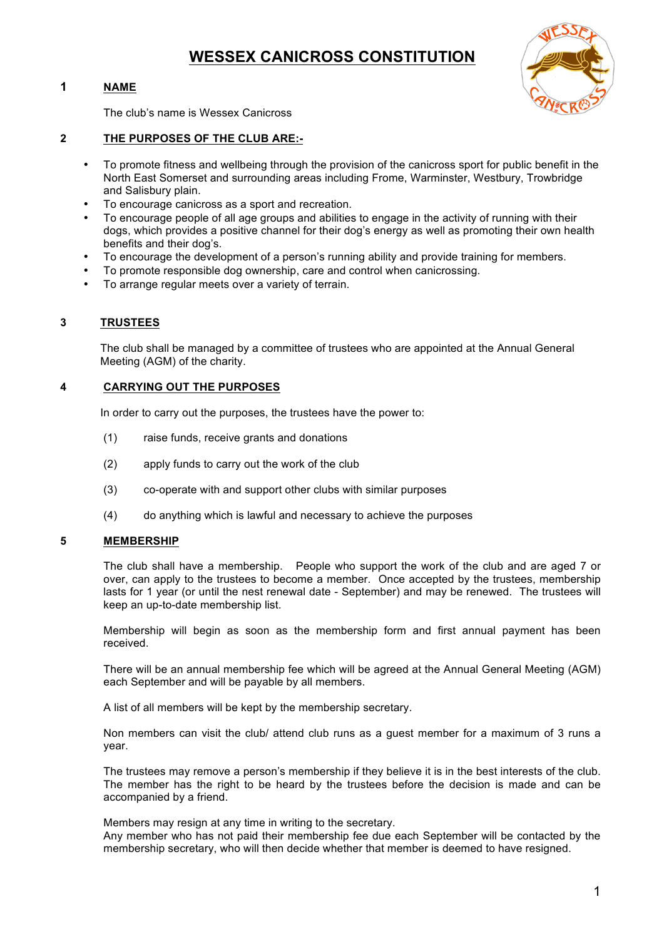# **WESSEX CANICROSS CONSTITUTION**

## **1 NAME**



The club's name is Wessex Canicross

## **2 THE PURPOSES OF THE CLUB ARE:-**

- To promote fitness and wellbeing through the provision of the canicross sport for public benefit in the North East Somerset and surrounding areas including Frome, Warminster, Westbury, Trowbridge and Salisbury plain.
- To encourage canicross as a sport and recreation.
- To encourage people of all age groups and abilities to engage in the activity of running with their dogs, which provides a positive channel for their dog's energy as well as promoting their own health benefits and their dog's.
- To encourage the development of a person's running ability and provide training for members.
- To promote responsible dog ownership, care and control when canicrossing.
- To arrange regular meets over a variety of terrain.

## **3 TRUSTEES**

The club shall be managed by a committee of trustees who are appointed at the Annual General Meeting (AGM) of the charity.

## **4 CARRYING OUT THE PURPOSES**

In order to carry out the purposes, the trustees have the power to:

- (1) raise funds, receive grants and donations
- (2) apply funds to carry out the work of the club
- (3) co-operate with and support other clubs with similar purposes
- (4) do anything which is lawful and necessary to achieve the purposes

#### **5 MEMBERSHIP**

The club shall have a membership. People who support the work of the club and are aged 7 or over, can apply to the trustees to become a member. Once accepted by the trustees, membership lasts for 1 year (or until the nest renewal date - September) and may be renewed. The trustees will keep an up-to-date membership list.

Membership will begin as soon as the membership form and first annual payment has been received.

There will be an annual membership fee which will be agreed at the Annual General Meeting (AGM) each September and will be payable by all members.

A list of all members will be kept by the membership secretary.

Non members can visit the club/ attend club runs as a guest member for a maximum of 3 runs a year.

The trustees may remove a person's membership if they believe it is in the best interests of the club. The member has the right to be heard by the trustees before the decision is made and can be accompanied by a friend.

Members may resign at any time in writing to the secretary.

Any member who has not paid their membership fee due each September will be contacted by the membership secretary, who will then decide whether that member is deemed to have resigned.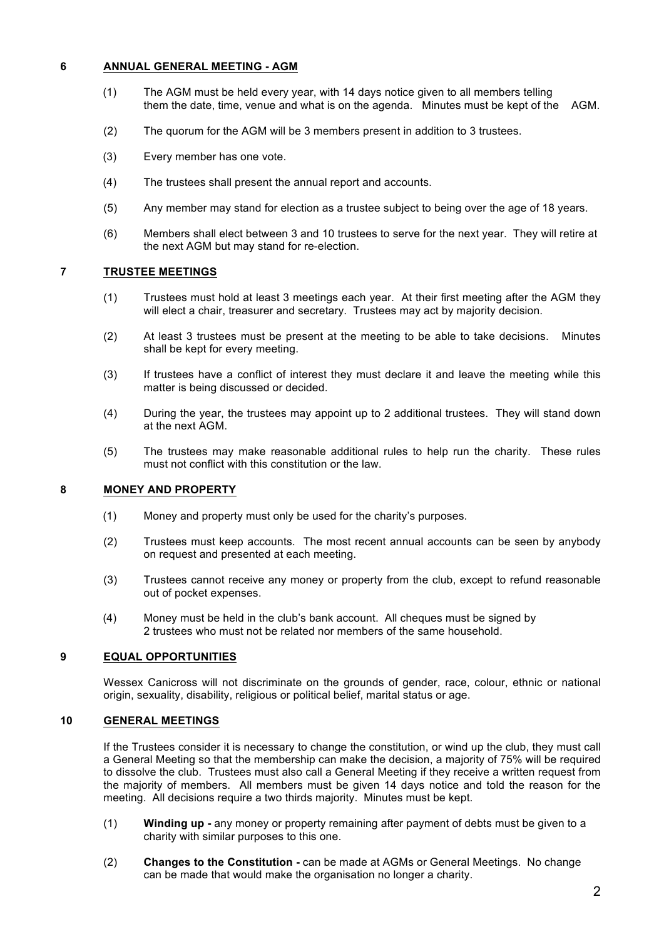## **6 ANNUAL GENERAL MEETING - AGM**

- (1) The AGM must be held every year, with 14 days notice given to all members telling them the date, time, venue and what is on the agenda. Minutes must be kept of the AGM.
- (2) The quorum for the AGM will be 3 members present in addition to 3 trustees.
- (3) Every member has one vote.
- (4) The trustees shall present the annual report and accounts.
- (5) Any member may stand for election as a trustee subject to being over the age of 18 years.
- (6) Members shall elect between 3 and 10 trustees to serve for the next year. They will retire at the next AGM but may stand for re-election.

## **7 TRUSTEE MEETINGS**

- (1) Trustees must hold at least 3 meetings each year. At their first meeting after the AGM they will elect a chair, treasurer and secretary. Trustees may act by majority decision.
- (2) At least 3 trustees must be present at the meeting to be able to take decisions. Minutes shall be kept for every meeting.
- (3) If trustees have a conflict of interest they must declare it and leave the meeting while this matter is being discussed or decided.
- (4) During the year, the trustees may appoint up to 2 additional trustees. They will stand down at the next AGM.
- (5) The trustees may make reasonable additional rules to help run the charity. These rules must not conflict with this constitution or the law.

## **8 MONEY AND PROPERTY**

- (1) Money and property must only be used for the charity's purposes.
- (2) Trustees must keep accounts. The most recent annual accounts can be seen by anybody on request and presented at each meeting.
- (3) Trustees cannot receive any money or property from the club, except to refund reasonable out of pocket expenses.
- (4) Money must be held in the club's bank account. All cheques must be signed by 2 trustees who must not be related nor members of the same household.

## **9 EQUAL OPPORTUNITIES**

Wessex Canicross will not discriminate on the grounds of gender, race, colour, ethnic or national origin, sexuality, disability, religious or political belief, marital status or age.

## **10 GENERAL MEETINGS**

If the Trustees consider it is necessary to change the constitution, or wind up the club, they must call a General Meeting so that the membership can make the decision, a majority of 75% will be required to dissolve the club. Trustees must also call a General Meeting if they receive a written request from the majority of members. All members must be given 14 days notice and told the reason for the meeting. All decisions require a two thirds majority. Minutes must be kept.

- (1) **Winding up -** any money or property remaining after payment of debts must be given to a charity with similar purposes to this one.
- (2) **Changes to the Constitution -** can be made at AGMs or General Meetings. No change can be made that would make the organisation no longer a charity.